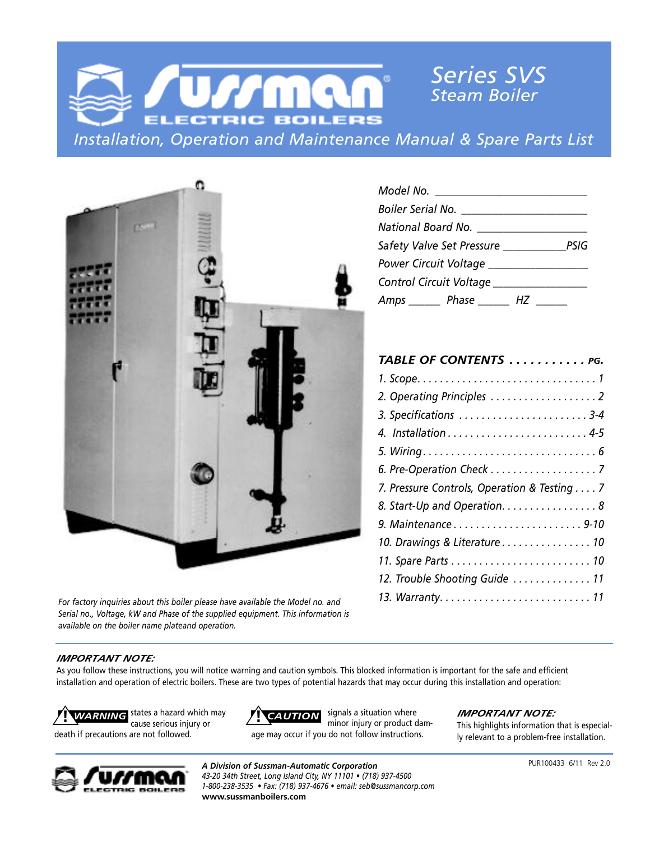



*For factory inquiries about this boiler please have available the Model no. and Serial no., Voltage, kW and Phase of the supplied equipment. This information is available on the boiler name plateand operation.*

| Safety Valve Set Pressure _________________PSIG |  |
|-------------------------------------------------|--|
|                                                 |  |
| Control Circuit Voltage ________________        |  |
| Amps _______ Phase ________ HZ ______           |  |

| TABLE OF CONTENTS  PG.                      |
|---------------------------------------------|
|                                             |
| 2. Operating Principles 2                   |
| 3. Specifications  3-4                      |
|                                             |
|                                             |
| 6. Pre-Operation Check 7                    |
| 7. Pressure Controls, Operation & Testing 7 |
| 8. Start-Up and Operation. 8                |
| 9. Maintenance9-10                          |
| 10. Drawings & Literature 10                |
|                                             |
| 12. Trouble Shooting Guide  11              |
|                                             |

#### *IMPORTANT NOTE:*

As you follow these instructions, you will notice warning and caution symbols. This blocked information is important for the safe and efficient installation and operation of electric boilers. These are two types of potential hazards that may occur during this installation and operation:



signals a situation where minor injury or product damage may occur if you do not follow instructions.

#### *IMPORTANT NOTE:*

This highlights information that is especially relevant to a problem-free installation.



*A Division of Sussman-Automatic Corporation 43-20 34th Street, Long Island City, NY 11101 • (718) 937-4500 1-800-238-3535 • Fax: (718) 937-4676 • email: seb@sussmancorp.com* **www.sussmanboilers.com**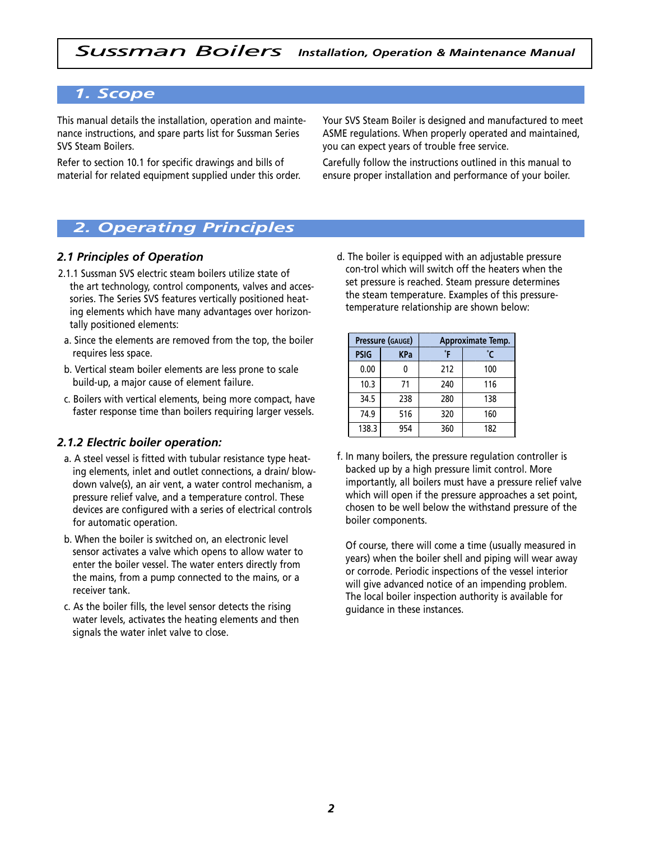# *1. Scope*

This manual details the installation, operation and maintenance instructions, and spare parts list for Sussman Series SVS Steam Boilers.

Refer to section 10.1 for specific drawings and bills of material for related equipment supplied under this order. Your SVS Steam Boiler is designed and manufactured to meet ASME regulations. When properly operated and maintained, you can expect years of trouble free service.

Carefully follow the instructions outlined in this manual to ensure proper installation and performance of your boiler.

# *2. Operating Principles*

## *2.1 Principles of Operation*

- 2.1.1 Sussman SVS electric steam boilers utilize state of the art technology, control components, valves and accessories. The Series SVS features vertically positioned heating elements which have many advantages over horizontally positioned elements:
- a. Since the elements are removed from the top, the boiler requires less space.
- b. Vertical steam boiler elements are less prone to scale build-up, a major cause of element failure.
- c. Boilers with vertical elements, being more compact, have faster response time than boilers requiring larger vessels.

#### *2.1.2 Electric boiler operation:*

- a. A steel vessel is fitted with tubular resistance type heating elements, inlet and outlet connections, a drain/ blowdown valve(s), an air vent, a water control mechanism, a pressure relief valve, and a temperature control. These devices are configured with a series of electrical controls for automatic operation.
- b. When the boiler is switched on, an electronic level sensor activates a valve which opens to allow water to enter the boiler vessel. The water enters directly from the mains, from a pump connected to the mains, or a receiver tank.
- c. As the boiler fills, the level sensor detects the rising water levels, activates the heating elements and then signals the water inlet valve to close.

d. The boiler is equipped with an adjustable pressure con-trol which will switch off the heaters when the set pressure is reached. Steam pressure determines the steam temperature. Examples of this pressuretemperature relationship are shown below:

|             | Pressure (GAUGE) | Approximate Temp. |     |  |  |  |  |  |
|-------------|------------------|-------------------|-----|--|--|--|--|--|
| <b>PSIG</b> | <b>KPa</b>       | οF                | °۲  |  |  |  |  |  |
| 0.00        |                  | 212               | 100 |  |  |  |  |  |
| 10.3        | 71               | 240               | 116 |  |  |  |  |  |
| 34.5        | 238              | 280               | 138 |  |  |  |  |  |
| 74.9        | 516              | 320               | 160 |  |  |  |  |  |
| 138.3       | 954              | 360               | 182 |  |  |  |  |  |

f. In many boilers, the pressure regulation controller is backed up by a high pressure limit control. More importantly, all boilers must have a pressure relief valve which will open if the pressure approaches a set point, chosen to be well below the withstand pressure of the boiler components.

Of course, there will come a time (usually measured in years) when the boiler shell and piping will wear away or corrode. Periodic inspections of the vessel interior will give advanced notice of an impending problem. The local boiler inspection authority is available for guidance in these instances.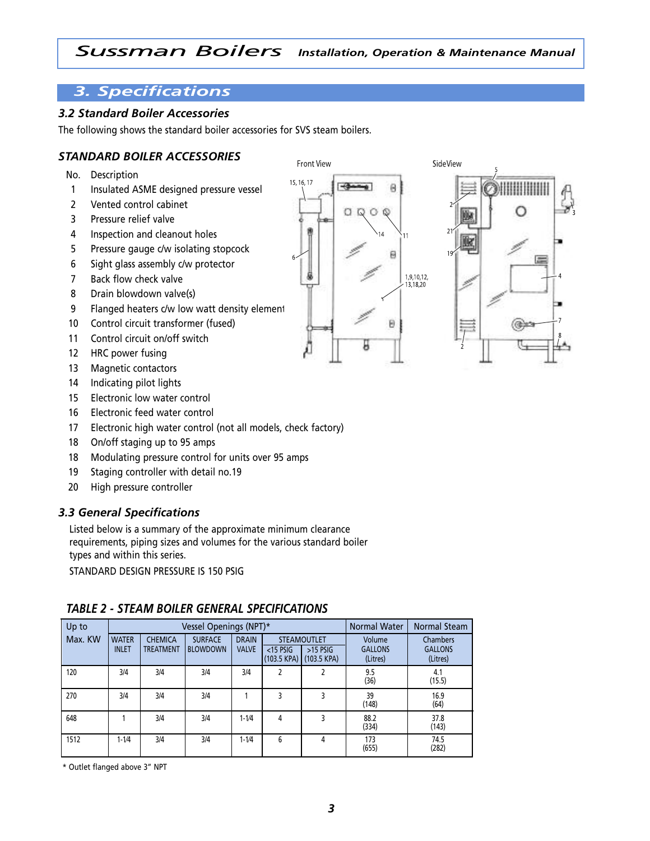# *3. Specifications*

## *3.2 Standard Boiler Accessories*

The following shows the standard boiler accessories for SVS steam boilers.

## *STANDARD BOILER ACCESSORIES*

- No. Description
- 1 Insulated ASME designed pressure vessel
- 2 Vented control cabinet
- 3 Pressure relief valve
- 4 Inspection and cleanout holes
- 5 Pressure gauge c/w isolating stopcock
- 6 Sight glass assembly c/w protector
- 7 Back flow check valve
- 8 Drain blowdown valve(s)
- 9 Flanged heaters c/w low watt density element
- 10 Control circuit transformer (fused)
- 11 Control circuit on/off switch
- 12 HRC power fusing
- 13 Magnetic contactors
- 14 Indicating pilot lights
- 15 Electronic low water control
- 16 Electronic feed water control
- 17 Electronic high water control (not all models, check factory)
- 18 On/off staging up to 95 amps
- 18 Modulating pressure control for units over 95 amps
- 19 Staging controller with detail no.19
- 20 High pressure controller

#### *3.3 General Specifications*

Listed below is a summary of the approximate minimum clearance requirements, piping sizes and volumes for the various standard boiler types and within this series.

STANDARD DESIGN PRESSURE IS 150 PSIG

# *TABLE 2 - STEAM BOILER GENERAL SPECIFICATIONS*

| Up to   |                              |                                    | Vessel Openings (NPT)*            |                              |                            |                                                 | <b>Normal Water</b>                  | Normal Steam                           |
|---------|------------------------------|------------------------------------|-----------------------------------|------------------------------|----------------------------|-------------------------------------------------|--------------------------------------|----------------------------------------|
| Max. KW | <b>WATER</b><br><b>INLET</b> | <b>CHEMICA</b><br><b>TREATMENT</b> | <b>SURFACE</b><br><b>BLOWDOWN</b> | <b>DRAIN</b><br><b>VALVE</b> | $<$ 15 PSIG<br>(103.5 KPA) | <b>STEAMOUTLET</b><br>$>15$ PSIG<br>(103.5 KPA) | Volume<br><b>GALLONS</b><br>(Litres) | Chambers<br><b>GALLONS</b><br>(Litres) |
| 120     | 3/4                          | 3/4                                | 3/4                               | 3/4                          | 2                          |                                                 | 9.5<br>(36)                          | 4.1<br>(15.5)                          |
| 270     | 3/4                          | 3/4                                | 3/4                               |                              | 3                          | 3                                               | 39<br>(148)                          | 16.9<br>(64)                           |
| 648     |                              | 3/4                                | 3/4                               | $1 - 1/4$                    | 4                          | 3                                               | 88.2<br>(334)                        | 37.8<br>(143)                          |
| 1512    | $1 - 1/4$                    | 3/4                                | 3/4                               | $1 - 1/4$                    | 6                          | 4                                               | 173<br>(655)                         | 74.5<br>(282)                          |

\* Outlet flanged above 3" NPT

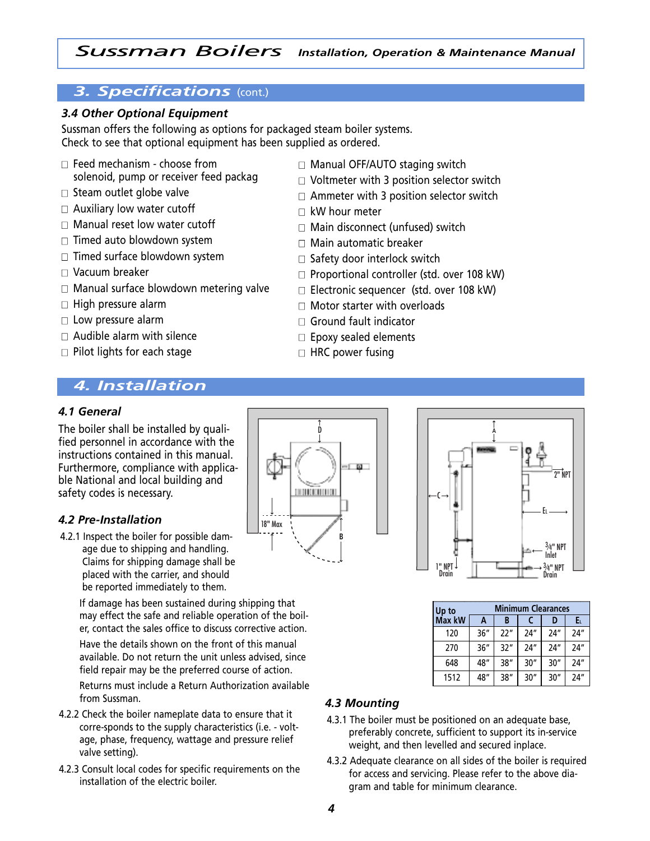# *3. Specifications* (cont.)

## *3.4 Other Optional Equipment*

Sussman offers the following as options for packaged steam boiler systems. Check to see that optional equipment has been supplied as ordered.

- $\Box$  Feed mechanism choose from solenoid, pump or receiver feed packag
- $\square$  Steam outlet globe valve
- $\Box$  Auxiliary low water cutoff
- $\Box$  Manual reset low water cutoff
- $\Box$  Timed auto blowdown system
- $\Box$  Timed surface blowdown system
- $\Box$  Vacuum breaker
- $\Box$  Manual surface blowdown metering valve
- $\Box$  High pressure alarm
- $\Box$  Low pressure alarm
- $\Box$  Audible alarm with silence
- $\Box$  Pilot lights for each stage

# *4. Installation*

#### *4.1 General*

The boiler shall be installed by qualified personnel in accordance with the instructions contained in this manual. Furthermore, compliance with applicable National and local building and safety codes is necessary.

#### *4.2 Pre-Installation*

4.2.1 Inspect the boiler for possible damage due to shipping and handling. Claims for shipping damage shall be placed with the carrier, and should be reported immediately to them.

> If damage has been sustained during shipping that may effect the safe and reliable operation of the boiler, contact the sales office to discuss corrective action.

> Have the details shown on the front of this manual available. Do not return the unit unless advised, since field repair may be the preferred course of action.

Returns must include a Return Authorization available from Sussman.

- 4.2.2 Check the boiler nameplate data to ensure that it corre-sponds to the supply characteristics (i.e. - voltage, phase, frequency, wattage and pressure relief valve setting).
- 4.2.3 Consult local codes for specific requirements on the installation of the electric boiler.

 $T$   $\overline{M}$   $\overline{M}$ **THE REAL PROPERTY** 18" Max **B**



| Up to  | <b>Minimum Clearances</b> |      |      |      |     |  |  |  |  |  |
|--------|---------------------------|------|------|------|-----|--|--|--|--|--|
| Max kW | A                         | B    |      | D    | Eι  |  |  |  |  |  |
| 120    | 36''                      | ייככ | 74'' | 74'' | 24" |  |  |  |  |  |
| 270    | 36''                      | 32"  | 24"  | 24"  | 24" |  |  |  |  |  |
| 648    | 48"                       | 38"  | 30'' | 30'' | 24" |  |  |  |  |  |
| 1512   | 48"                       | 38'' | 30'' | 30'' | 24" |  |  |  |  |  |

#### *4.3 Mounting*

- 4.3.1 The boiler must be positioned on an adequate base, preferably concrete, sufficient to support its in-service weight, and then levelled and secured inplace.
- 4.3.2 Adequate clearance on all sides of the boiler is required for access and servicing. Please refer to the above diagram and table for minimum clearance.
- $\Box$  Manual OFF/AUTO staging switch
- $\Box$  Voltmeter with 3 position selector switch
- $\Box$  Ammeter with 3 position selector switch
- $\Box$  kW hour meter
- $\Box$  Main disconnect (unfused) switch
- $\Box$  Main automatic breaker
- $\Box$  Safety door interlock switch
- $\Box$  Proportional controller (std. over 108 kW)
- $\Box$  Electronic sequencer (std. over 108 kW)
- $\Box$  Motor starter with overloads
- $\Box$  Ground fault indicator
- $\Box$  Epoxy sealed elements
- $\Box$  HRC power fusing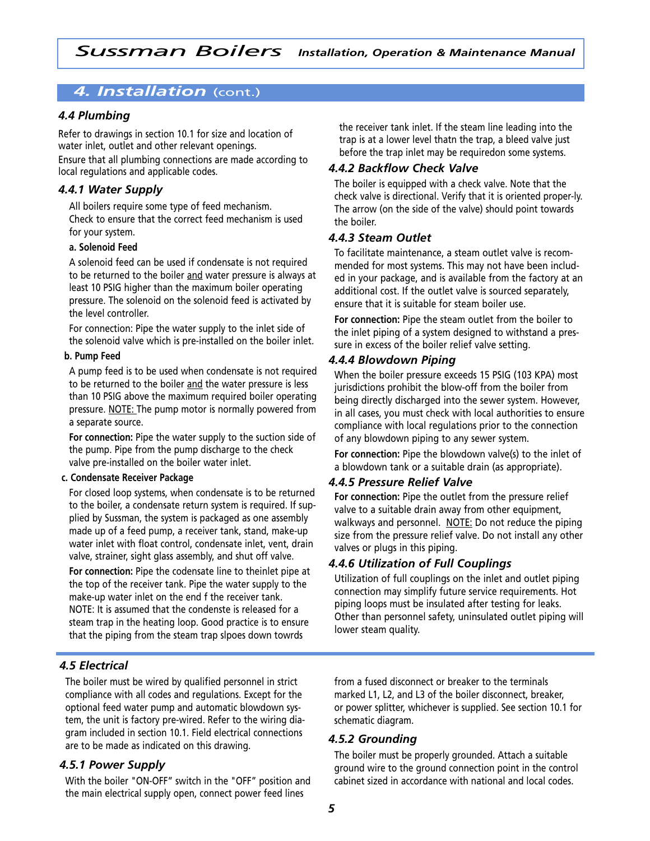# *4. Installation* (cont.)

## *4.4 Plumbing*

Refer to drawings in section 10.1 for size and location of water inlet, outlet and other relevant openings. Ensure that all plumbing connections are made according to local regulations and applicable codes.

## *4.4.1 Water Supply*

All boilers require some type of feed mechanism. Check to ensure that the correct feed mechanism is used for your system.

#### **a. Solenoid Feed**

A solenoid feed can be used if condensate is not required to be returned to the boiler and water pressure is always at least 10 PSIG higher than the maximum boiler operating pressure. The solenoid on the solenoid feed is activated by the level controller.

For connection: Pipe the water supply to the inlet side of the solenoid valve which is pre-installed on the boiler inlet.

#### **b. Pump Feed**

A pump feed is to be used when condensate is not required to be returned to the boiler and the water pressure is less than 10 PSIG above the maximum required boiler operating pressure. NOTE: The pump motor is normally powered from a separate source.

**For connection:** Pipe the water supply to the suction side of the pump. Pipe from the pump discharge to the check valve pre-installed on the boiler water inlet.

#### **c. Condensate Receiver Package**

For closed loop systems, when condensate is to be returned to the boiler, a condensate return system is required. If supplied by Sussman, the system is packaged as one assembly made up of a feed pump, a receiver tank, stand, make-up water inlet with float control, condensate inlet, vent, drain valve, strainer, sight glass assembly, and shut off valve.

**For connection:** Pipe the codensate line to theinlet pipe at the top of the receiver tank. Pipe the water supply to the make-up water inlet on the end f the receiver tank. NOTE: It is assumed that the condenste is released for a steam trap in the heating loop. Good practice is to ensure that the piping from the steam trap slpoes down towrds

# *4.5 Electrical*

The boiler must be wired by qualified personnel in strict compliance with all codes and regulations. Except for the optional feed water pump and automatic blowdown system, the unit is factory pre-wired. Refer to the wiring diagram included in section 10.1. Field electrical connections are to be made as indicated on this drawing.

## *4.5.1 Power Supply*

With the boiler "ON-OFF" switch in the "OFF" position and the main electrical supply open, connect power feed lines

the receiver tank inlet. If the steam line leading into the trap is at a lower level thatn the trap, a bleed valve just before the trap inlet may be requiredon some systems.

## *4.4.2 Backflow Check Valve*

The boiler is equipped with a check valve. Note that the check valve is directional. Verify that it is oriented proper-ly. The arrow (on the side of the valve) should point towards the boiler.

#### *4.4.3 Steam Outlet*

To facilitate maintenance, a steam outlet valve is recommended for most systems. This may not have been included in your package, and is available from the factory at an additional cost. If the outlet valve is sourced separately, ensure that it is suitable for steam boiler use.

**For connection:** Pipe the steam outlet from the boiler to the inlet piping of a system designed to withstand a pressure in excess of the boiler relief valve setting.

## *4.4.4 Blowdown Piping*

When the boiler pressure exceeds 15 PSIG (103 KPA) most jurisdictions prohibit the blow-off from the boiler from being directly discharged into the sewer system. However, in all cases, you must check with local authorities to ensure compliance with local regulations prior to the connection of any blowdown piping to any sewer system.

**For connection:** Pipe the blowdown valve(s) to the inlet of a blowdown tank or a suitable drain (as appropriate).

## *4.4.5 Pressure Relief Valve*

**For connection:** Pipe the outlet from the pressure relief valve to a suitable drain away from other equipment, walkways and personnel. NOTE: Do not reduce the piping size from the pressure relief valve. Do not install any other valves or plugs in this piping.

## *4.4.6 Utilization of Full Couplings*

Utilization of full couplings on the inlet and outlet piping connection may simplify future service requirements. Hot piping loops must be insulated after testing for leaks. Other than personnel safety, uninsulated outlet piping will lower steam quality.

from a fused disconnect or breaker to the terminals marked L1, L2, and L3 of the boiler disconnect, breaker, or power splitter, whichever is supplied. See section 10.1 for schematic diagram.

#### *4.5.2 Grounding*

The boiler must be properly grounded. Attach a suitable ground wire to the ground connection point in the control cabinet sized in accordance with national and local codes.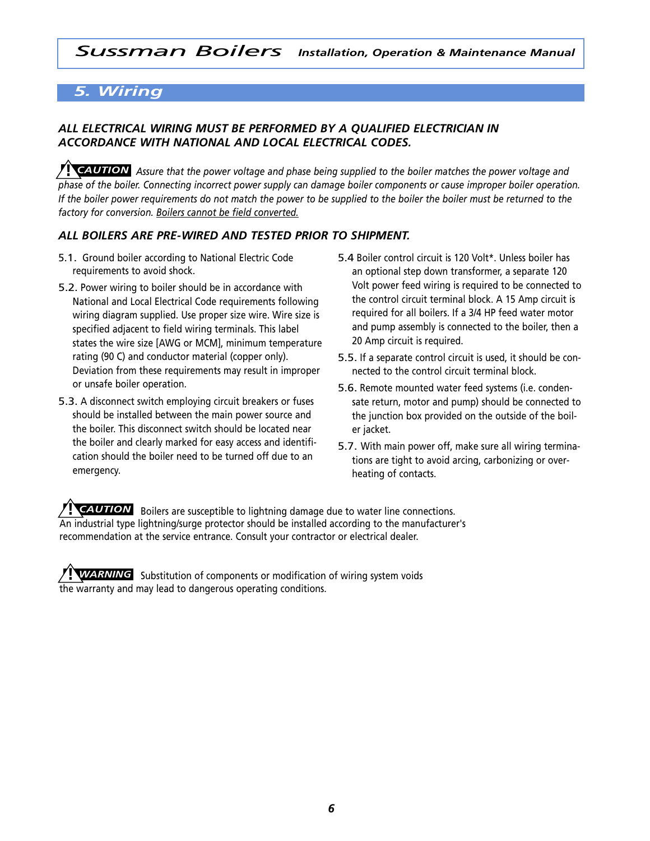# *5. Wiring*

# *ALL ELECTRICAL WIRING MUST BE PERFORMED BY A QUALIFIED ELECTRICIAN IN ACCORDANCE WITH NATIONAL AND LOCAL ELECTRICAL CODES.*

**I CAUTION** Assure that the power voltage and phase being supplied to the boiler matches the power voltage and phase of the boiler. Connecting incorrect power supply can damage boiler components or cause improper boiler operation. If the boiler power requirements do not match the power to be supplied to the boiler the boiler must be returned to the *factory for conversion. Boilers cannot be field converted.*

## *ALL BOILERS ARE PRE-WIRED AND TESTED PRIOR TO SHIPMENT.*

- 5.1. Ground boiler according to National Electric Code requirements to avoid shock.
- 5.2. Power wiring to boiler should be in accordance with National and Local Electrical Code requirements following wiring diagram supplied. Use proper size wire. Wire size is specified adjacent to field wiring terminals. This label states the wire size [AWG or MCM], minimum temperature rating (90 C) and conductor material (copper only). Deviation from these requirements may result in improper or unsafe boiler operation.
- 5.3. A disconnect switch employing circuit breakers or fuses should be installed between the main power source and the boiler. This disconnect switch should be located near the boiler and clearly marked for easy access and identification should the boiler need to be turned off due to an emergency.
- 5.4 Boiler control circuit is 120 Volt\*. Unless boiler has an optional step down transformer, a separate 120 Volt power feed wiring is required to be connected to the control circuit terminal block. A 15 Amp circuit is required for all boilers. If a 3/4 HP feed water motor and pump assembly is connected to the boiler, then a 20 Amp circuit is required.
- 5.5. If a separate control circuit is used, it should be connected to the control circuit terminal block.
- 5.6. Remote mounted water feed systems (i.e. condensate return, motor and pump) should be connected to the junction box provided on the outside of the boiler jacket.
- 5.7. With main power off, make sure all wiring terminations are tight to avoid arcing, carbonizing or overheating of contacts.

Boilers are susceptible to lightning damage due to water line connections. **!** *CAUTION* An industrial type lightning/surge protector should be installed according to the manufacturer's recommendation at the service entrance. Consult your contractor or electrical dealer.

Substitution of components or modification of wiring system voids **!** *WARNING*the warranty and may lead to dangerous operating conditions.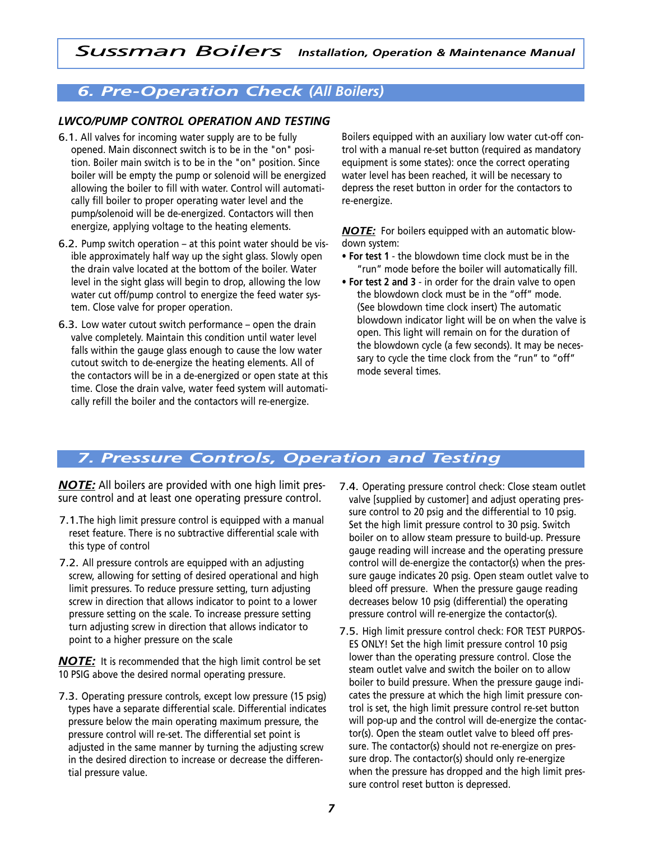# *6. Pre-Operation Check (All Boilers)*

## *LWCO/PUMP CONTROL OPERATION AND TESTING*

- 6.1. All valves for incoming water supply are to be fully opened. Main disconnect switch is to be in the "on" position. Boiler main switch is to be in the "on" position. Since boiler will be empty the pump or solenoid will be energized allowing the boiler to fill with water. Control will automatically fill boiler to proper operating water level and the pump/solenoid will be de-energized. Contactors will then energize, applying voltage to the heating elements.
- 6.2. Pump switch operation at this point water should be visible approximately half way up the sight glass. Slowly open the drain valve located at the bottom of the boiler. Water level in the sight glass will begin to drop, allowing the low water cut off/pump control to energize the feed water system. Close valve for proper operation.
- 6.3. Low water cutout switch performance open the drain valve completely. Maintain this condition until water level falls within the gauge glass enough to cause the low water cutout switch to de-energize the heating elements. All of the contactors will be in a de-energized or open state at this time. Close the drain valve, water feed system will automatically refill the boiler and the contactors will re-energize.

Boilers equipped with an auxiliary low water cut-off control with a manual re-set button (required as mandatory equipment is some states): once the correct operating water level has been reached, it will be necessary to depress the reset button in order for the contactors to re-energize.

*NOTE:* For boilers equipped with an automatic blowdown system:

- **• For test 1** the blowdown time clock must be in the "run" mode before the boiler will automatically fill.
- **• For test 2 and 3** in order for the drain valve to open the blowdown clock must be in the "off" mode. (See blowdown time clock insert) The automatic blowdown indicator light will be on when the valve is open. This light will remain on for the duration of the blowdown cycle (a few seconds). It may be necessary to cycle the time clock from the "run" to "off" mode several times.

# *7. Pressure Controls, Operation and Testing*

*NOTE:* All boilers are provided with one high limit pressure control and at least one operating pressure control.

- 7.1.The high limit pressure control is equipped with a manual reset feature. There is no subtractive differential scale with this type of control
- 7.2. All pressure controls are equipped with an adjusting screw, allowing for setting of desired operational and high limit pressures. To reduce pressure setting, turn adjusting screw in direction that allows indicator to point to a lower pressure setting on the scale. To increase pressure setting turn adjusting screw in direction that allows indicator to point to a higher pressure on the scale

*NOTE:* It is recommended that the high limit control be set 10 PSIG above the desired normal operating pressure.

- 7.3. Operating pressure controls, except low pressure (15 psig) types have a separate differential scale. Differential indicates pressure below the main operating maximum pressure, the pressure control will re-set. The differential set point is adjusted in the same manner by turning the adjusting screw in the desired direction to increase or decrease the differential pressure value.
- 7.4. Operating pressure control check: Close steam outlet valve [supplied by customer] and adjust operating pressure control to 20 psig and the differential to 10 psig. Set the high limit pressure control to 30 psig. Switch boiler on to allow steam pressure to build-up. Pressure gauge reading will increase and the operating pressure control will de-energize the contactor(s) when the pressure gauge indicates 20 psig. Open steam outlet valve to bleed off pressure. When the pressure gauge reading decreases below 10 psig (differential) the operating pressure control will re-energize the contactor(s).
- 7.5. High limit pressure control check: FOR TEST PURPOS-ES ONLY! Set the high limit pressure control 10 psig lower than the operating pressure control. Close the steam outlet valve and switch the boiler on to allow boiler to build pressure. When the pressure gauge indicates the pressure at which the high limit pressure control is set, the high limit pressure control re-set button will pop-up and the control will de-energize the contactor(s). Open the steam outlet valve to bleed off pressure. The contactor(s) should not re-energize on pressure drop. The contactor(s) should only re-energize when the pressure has dropped and the high limit pressure control reset button is depressed.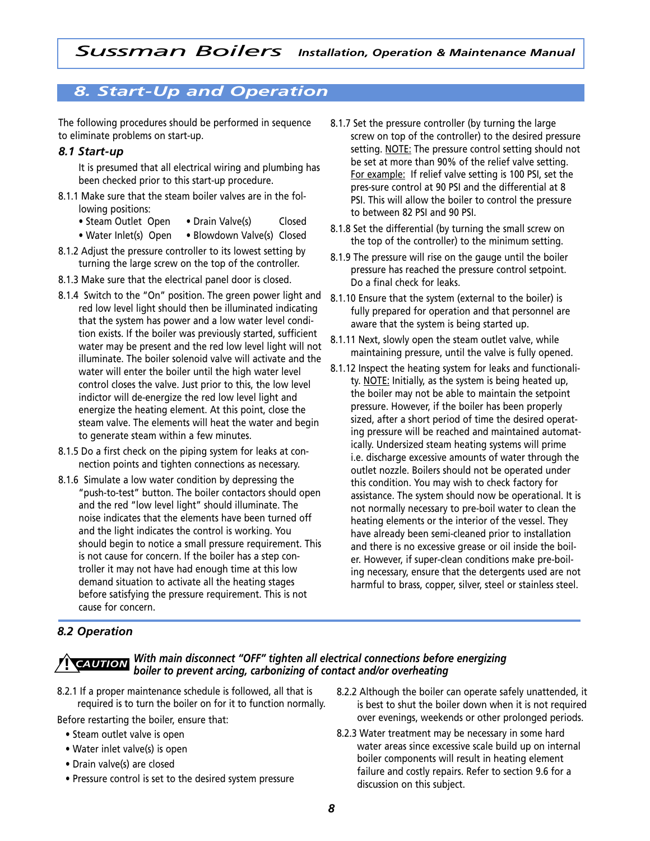# *8. Start-Up and Operation*

The following procedures should be performed in sequence to eliminate problems on start-up.

## *8.1 Start-up*

It is presumed that all electrical wiring and plumbing has been checked prior to this start-up procedure.

- 8.1.1 Make sure that the steam boiler valves are in the following positions:
	- Steam Outlet Open Drain Valve(s) Closed
	- Water Inlet(s) Open Blowdown Valve(s) Closed
- 8.1.2 Adjust the pressure controller to its lowest setting by turning the large screw on the top of the controller.
- 8.1.3 Make sure that the electrical panel door is closed.
- 8.1.4 Switch to the "On" position. The green power light and red low level light should then be illuminated indicating that the system has power and a low water level condition exists. If the boiler was previously started, sufficient water may be present and the red low level light will not illuminate. The boiler solenoid valve will activate and the water will enter the boiler until the high water level control closes the valve. Just prior to this, the low level indictor will de-energize the red low level light and energize the heating element. At this point, close the steam valve. The elements will heat the water and begin to generate steam within a few minutes.
- 8.1.5 Do a first check on the piping system for leaks at connection points and tighten connections as necessary.
- 8.1.6 Simulate a low water condition by depressing the "push-to-test" button. The boiler contactors should open and the red "low level light" should illuminate. The noise indicates that the elements have been turned off and the light indicates the control is working. You should begin to notice a small pressure requirement. This is not cause for concern. If the boiler has a step controller it may not have had enough time at this low demand situation to activate all the heating stages before satisfying the pressure requirement. This is not cause for concern.
- 8.1.7 Set the pressure controller (by turning the large screw on top of the controller) to the desired pressure setting. NOTE: The pressure control setting should not be set at more than 90% of the relief valve setting. For example: If relief valve setting is 100 PSI, set the pres-sure control at 90 PSI and the differential at 8 PSI. This will allow the boiler to control the pressure to between 82 PSI and 90 PSI.
- 8.1.8 Set the differential (by turning the small screw on the top of the controller) to the minimum setting.
- 8.1.9 The pressure will rise on the gauge until the boiler pressure has reached the pressure control setpoint. Do a final check for leaks.
- 8.1.10 Ensure that the system (external to the boiler) is fully prepared for operation and that personnel are aware that the system is being started up.
- 8.1.11 Next, slowly open the steam outlet valve, while maintaining pressure, until the valve is fully opened.
- 8.1.12 Inspect the heating system for leaks and functionality. NOTE: Initially, as the system is being heated up, the boiler may not be able to maintain the setpoint pressure. However, if the boiler has been properly sized, after a short period of time the desired operating pressure will be reached and maintained automatically. Undersized steam heating systems will prime i.e. discharge excessive amounts of water through the outlet nozzle. Boilers should not be operated under this condition. You may wish to check factory for assistance. The system should now be operational. It is not normally necessary to pre-boil water to clean the heating elements or the interior of the vessel. They have already been semi-cleaned prior to installation and there is no excessive grease or oil inside the boiler. However, if super-clean conditions make pre-boiling necessary, ensure that the detergents used are not harmful to brass, copper, silver, steel or stainless steel.

# *8.2 Operation*

#### *With main disconnect "OFF" tighten all electrical connections before energizing boiler to prevent arcing, carbonizing of contact and/or overheating* **!** *CAUTION*

8.2.1 If a proper maintenance schedule is followed, all that is required is to turn the boiler on for it to function normally.

Before restarting the boiler, ensure that:

- Steam outlet valve is open
- Water inlet valve(s) is open
- Drain valve(s) are closed
- Pressure control is set to the desired system pressure
- 8.2.2 Although the boiler can operate safely unattended, it is best to shut the boiler down when it is not required over evenings, weekends or other prolonged periods.
- 8.2.3 Water treatment may be necessary in some hard water areas since excessive scale build up on internal boiler components will result in heating element failure and costly repairs. Refer to section 9.6 for a discussion on this subject.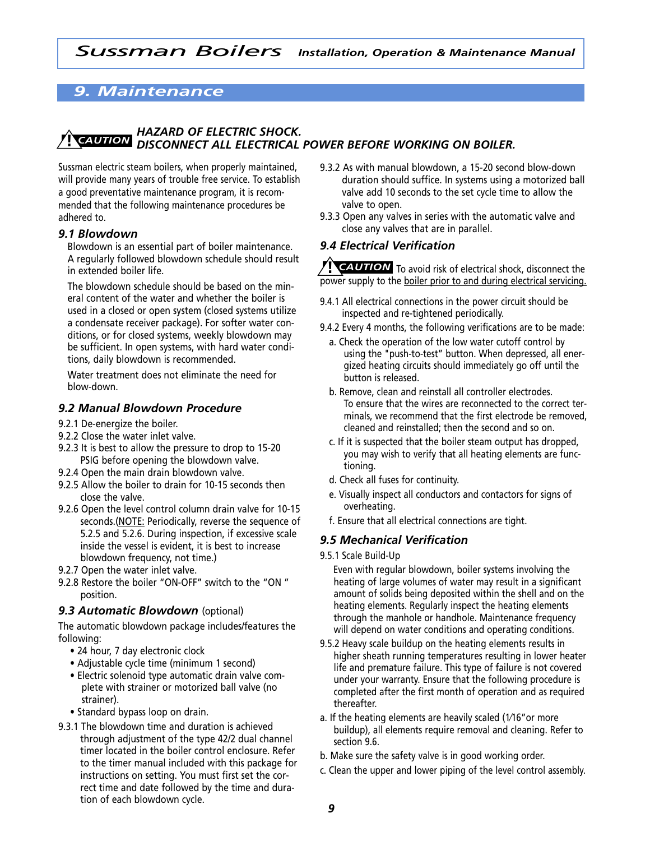# *9. Maintenance*

#### *HAZARD OF ELECTRIC SHOCK. DISCONNECT ALL ELECTRICAL POWER BEFORE WORKING ON BOILER.* **!** *CAUTION*

Sussman electric steam boilers, when properly maintained, will provide many years of trouble free service. To establish a good preventative maintenance program, it is recommended that the following maintenance procedures be adhered to.

#### *9.1 Blowdown*

Blowdown is an essential part of boiler maintenance. A regularly followed blowdown schedule should result in extended boiler life.

The blowdown schedule should be based on the mineral content of the water and whether the boiler is used in a closed or open system (closed systems utilize a condensate receiver package). For softer water conditions, or for closed systems, weekly blowdown may be sufficient. In open systems, with hard water conditions, daily blowdown is recommended.

Water treatment does not eliminate the need for blow-down.

## *9.2 Manual Blowdown Procedure*

- 9.2.1 De-energize the boiler.
- 9.2.2 Close the water inlet valve.
- 9.2.3 It is best to allow the pressure to drop to 15-20 PSIG before opening the blowdown valve.
- 9.2.4 Open the main drain blowdown valve.
- 9.2.5 Allow the boiler to drain for 10-15 seconds then close the valve.
- 9.2.6 Open the level control column drain valve for 10-15 seconds.(NOTE: Periodically, reverse the sequence of 5.2.5 and 5.2.6. During inspection, if excessive scale inside the vessel is evident, it is best to increase blowdown frequency, not time.)
- 9.2.7 Open the water inlet valve.
- 9.2.8 Restore the boiler "ON-OFF" switch to the "ON " position.

#### *9.3 Automatic Blowdown* (optional)

The automatic blowdown package includes/features the following:

- 24 hour, 7 day electronic clock
- Adjustable cycle time (minimum 1 second)
- Electric solenoid type automatic drain valve complete with strainer or motorized ball valve (no strainer).
- Standard bypass loop on drain.
- 9.3.1 The blowdown time and duration is achieved through adjustment of the type 42/2 dual channel timer located in the boiler control enclosure. Refer to the timer manual included with this package for instructions on setting. You must first set the correct time and date followed by the time and duration of each blowdown cycle.
- 9.3.2 As with manual blowdown, a 15-20 second blow-down duration should suffice. In systems using a motorized ball valve add 10 seconds to the set cycle time to allow the valve to open.
- 9.3.3 Open any valves in series with the automatic valve and close any valves that are in parallel.

## *9.4 Electrical Verification*

**PEAUTION** To avoid risk of electrical shock, disconnect the power supply to the boiler prior to and during electrical servicing.

- 9.4.1 All electrical connections in the power circuit should be inspected and re-tightened periodically.
- 9.4.2 Every 4 months, the following verifications are to be made:
	- a. Check the operation of the low water cutoff control by using the "push-to-test" button. When depressed, all energized heating circuits should immediately go off until the button is released.
	- b. Remove, clean and reinstall all controller electrodes. To ensure that the wires are reconnected to the correct terminals, we recommend that the first electrode be removed, cleaned and reinstalled; then the second and so on.
	- c. If it is suspected that the boiler steam output has dropped, you may wish to verify that all heating elements are functioning.
	- d. Check all fuses for continuity.
	- e. Visually inspect all conductors and contactors for signs of overheating.
	- f. Ensure that all electrical connections are tight.

#### *9.5 Mechanical Verification*

9.5.1 Scale Build-Up

Even with regular blowdown, boiler systems involving the heating of large volumes of water may result in a significant amount of solids being deposited within the shell and on the heating elements. Regularly inspect the heating elements through the manhole or handhole. Maintenance frequency will depend on water conditions and operating conditions.

- 9.5.2 Heavy scale buildup on the heating elements results in higher sheath running temperatures resulting in lower heater life and premature failure. This type of failure is not covered under your warranty. Ensure that the following procedure is completed after the first month of operation and as required thereafter.
- a. If the heating elements are heavily scaled (1⁄16"or more buildup), all elements require removal and cleaning. Refer to section 9.6.
- b. Make sure the safety valve is in good working order.
- c. Clean the upper and lower piping of the level control assembly.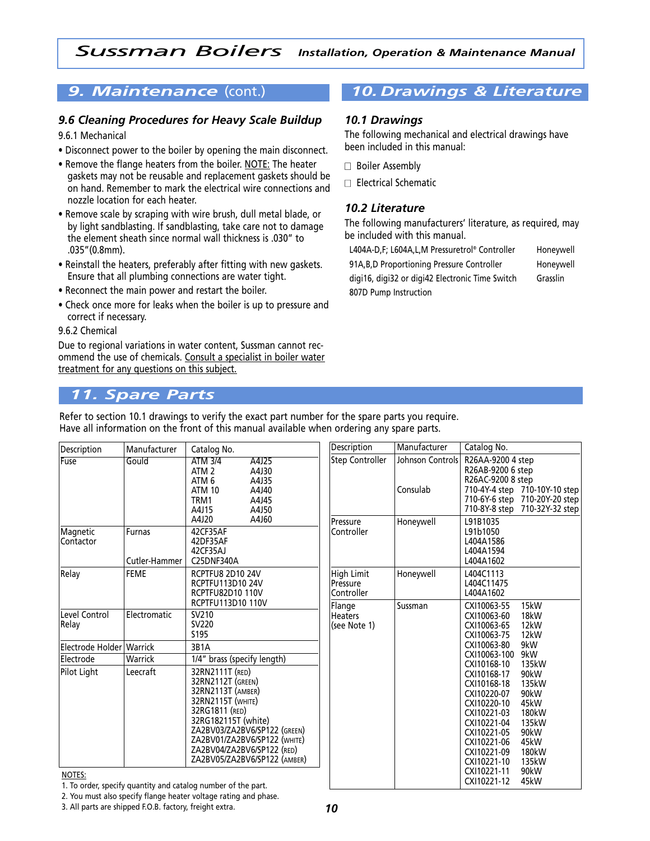#### *9.6 Cleaning Procedures for Heavy Scale Buildup*

#### 9.6.1 Mechanical

- Disconnect power to the boiler by opening the main disconnect.
- Remove the flange heaters from the boiler. NOTE: The heater gaskets may not be reusable and replacement gaskets should be on hand. Remember to mark the electrical wire connections and nozzle location for each heater.
- Remove scale by scraping with wire brush, dull metal blade, or by light sandblasting. If sandblasting, take care not to damage the element sheath since normal wall thickness is .030" to .035"(0.8mm).
- Reinstall the heaters, preferably after fitting with new gaskets. Ensure that all plumbing connections are water tight.
- Reconnect the main power and restart the boiler.
- Check once more for leaks when the boiler is up to pressure and correct if necessary.

#### 9.6.2 Chemical

Due to regional variations in water content, Sussman cannot recommend the use of chemicals. Consult a specialist in boiler water treatment for any questions on this subject.

# *9. Maintenance* (cont.) *10.Drawings & Literature*

#### *10.1 Drawings*

The following mechanical and electrical drawings have been included in this manual:

- □ Boiler Assembly
- $\Box$  Electrical Schematic

#### *10.2 Literature*

The following manufacturers' literature, as required, may be included with this manual.

L404A-D,F; L604A,L,M Pressuretrol® Controller Honeywell

91A,B,D Proportioning Pressure Controller Honeywell digi16, digi32 or digi42 Electronic Time Switch Grasslin 807D Pump Instruction

# *11. Spare Parts*

Refer to section 10.1 drawings to verify the exact part number for the spare parts you require. Have all information on the front of this manual available when ordering any spare parts.

| Description                | Manufacturer            | Catalog No.                                                                                                                                                                                                                                                  | Description                                 | Manufacturer | Catalog No.                                                                                                                                                                                                                             |
|----------------------------|-------------------------|--------------------------------------------------------------------------------------------------------------------------------------------------------------------------------------------------------------------------------------------------------------|---------------------------------------------|--------------|-----------------------------------------------------------------------------------------------------------------------------------------------------------------------------------------------------------------------------------------|
| Fuse                       | Gould                   | <b>Step Controller</b><br><b>ATM 3/4</b><br>A4J25<br>ATM <sub>2</sub><br>A4J30<br>ATM <sub>6</sub><br>A4J35<br>ATM 10<br>A4J40<br>TRM1<br>A4J45<br>A4J15<br>A4J50                                                                                            |                                             |              | R26AA-9200 4 step<br>Johnson Controls<br>R26AB-9200 6 step<br>R26AC-9200 8 step<br>710-4Y-4 step 710-10Y-10 step<br>710-6Y-6 step 710-20Y-20 step<br>710-8Y-8 step 710-32Y-32 step                                                      |
| Magnetic<br>Contactor      | Furnas<br>Cutler-Hammer | A4J20<br>A4J60<br>42CF35AF<br>42DF35AF<br>42CF35AJ<br>C25DNF340A                                                                                                                                                                                             | Pressure<br>Controller                      | Honeywell    | L91B1035<br>L91b1050<br>L404A1586<br>L404A1594<br>L404A1602                                                                                                                                                                             |
| Relay                      | <b>FEME</b>             | <b>RCPTFU8 2D10 24V</b><br><b>RCPTFU113D10 24V</b><br><b>RCPTFU82D10 110V</b>                                                                                                                                                                                | <b>High Limit</b><br>Pressure<br>Controller | Honeywell    | L404C1113<br>L404C11475<br>L404A1602                                                                                                                                                                                                    |
| Level Control<br>Relay     | Electromatic            | RCPTFU113D10 110V<br>SV210<br>SV220<br>S195                                                                                                                                                                                                                  | Flange<br><b>Heaters</b><br>(see Note 1)    | Sussman      | CXI10063-55<br>15kW<br>18kW<br>CXI10063-60<br>12kW<br>CXI10063-65<br>12 <sub>k</sub> W<br>CXI10063-75                                                                                                                                   |
| Electrode Holder   Warrick |                         | 3B1A                                                                                                                                                                                                                                                         |                                             |              | 9kW<br>CXI10063-80                                                                                                                                                                                                                      |
| lElectrode                 | Warrick                 | 1/4" brass (specify length)                                                                                                                                                                                                                                  |                                             |              | 9kW<br>CXI10063-100<br>CXI10168-10<br>135kW                                                                                                                                                                                             |
| Pilot Light                | Leecraft                | 32RN2111T (RED)<br>32RN2112T (GREEN)<br>32RN2113T (AMBER)<br><b>32RN2115T (WHITE)</b><br>32RG1811 (RED)<br>32RG182115T (white)<br>ZA2BV03/ZA2BV6/SP122 (GREEN)<br>ZA2BV01/ZA2BV6/SP122 (WHITE)<br>ZA2BV04/ZA2BV6/SP122 (RED)<br>ZA2BV05/ZA2BV6/SP122 (AMBER) |                                             |              | 90kW<br>CXI10168-17<br>135kW<br>CXI10168-18<br>90kW<br>CXI10220-07<br>CXI10220-10<br>45kW<br>180kW<br>CXI10221-03<br>135kW<br>CXI10221-04<br>CXI10221-05<br>90kW<br>45kW<br>CXI10221-06<br>CXI10221-09<br>180kW<br>CXI10221-10<br>135kW |
| NOTES:                     |                         | 1. To order, specify quantity and catalog number of the part.                                                                                                                                                                                                |                                             |              | CXI10221-11<br>90kW<br>CXI10221-12<br>45kW                                                                                                                                                                                              |

2. You must also specify flange heater voltage rating and phase.

3. All parts are shipped F.O.B. factory, freight extra.